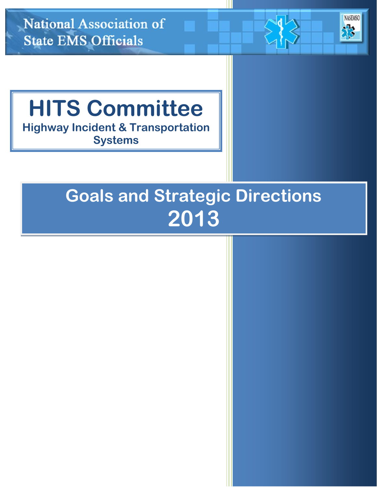

# **Goals and Strategic Directions 2013**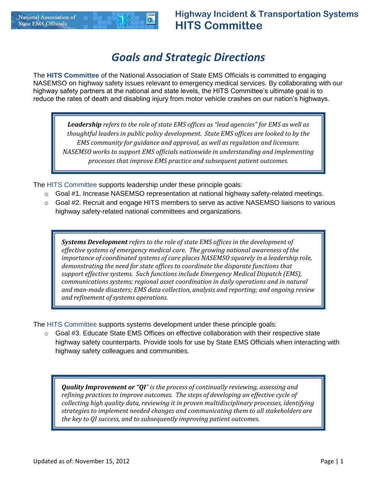# *Goals and Strategic Directions*

The **HITS Committee** of the National Association of State EMS Officials is committed to engaging NASEMSO on highway safety issues relevant to emergency medical services. By collaborating with our highway safety partners at the national and state levels, the HITS Committee's ultimate goal is to reduce the rates of death and disabling injury from motor vehicle crashes on our nation's highways.

*Leadership refers to the role of state EMS offices as "lead agencies" for EMS as well as thoughtful leaders in public policy development. State EMS offices are looked to by the EMS community for guidance and approval, as well as regulation and licensure. NASEMSO works to support EMS officials nationwide in understanding and implementing processes that improve EMS practice and subsequent patient outcomes.*

The HITS Committee supports leadership under these principle goals:

- $\circ$  Goal #1. Increase NASEMSO representation at national highway safety-related meetings.
- $\circ$  Goal #2. Recruit and engage HITS members to serve as active NASEMSO liaisons to various highway safety-related national committees and organizations.

*Systems Development refers to the role of state EMS offices in the development of effective systems of emergency medical care. The growing national awareness of the importance of coordinated systems of care places NASEMSO squarely in a leadership role, demonstrating the need for state offices to coordinate the disparate functions that support effective systems. Such functions include Emergency Medical Dispatch (EMS), communications systems; regional asset coordination in daily operations and in natural and man-made disasters; EMS data collection, analysis and reporting; and ongoing review and refinement of systems operations.*

The HITS Committee supports systems development under these principle goals:

 $\circ$  Goal #3. Educate State EMS Offices on effective collaboration with their respective state highway safety counterparts. Provide tools for use by State EMS Officials when interacting with highway safety colleagues and communities.

*Quality Improvement or "QI" is the process of continually reviewing, assessing and refining practices to improve outcomes. The steps of developing an effective cycle of collecting high quality data, reviewing it in proven multidisciplinary processes, identifying strategies to implement needed changes and communicating them to all stakeholders are the key to QI success, and to subsequently improving patient outcomes.*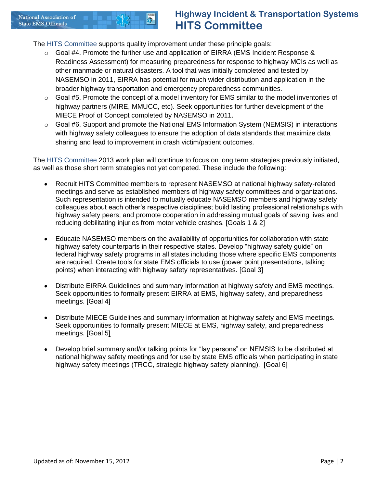## **National Association of State EMS Officials**

## **Highway Incident & Transportation Systems HITS Committee**

The HITS Committee supports quality improvement under these principle goals:

- $\circ$  Goal #4. Promote the further use and application of EIRRA (EMS Incident Response & Readiness Assessment) for measuring preparedness for response to highway MCIs as well as other manmade or natural disasters. A tool that was initially completed and tested by NASEMSO in 2011, EIRRA has potential for much wider distribution and application in the broader highway transportation and emergency preparedness communities.
- $\circ$  Goal #5. Promote the concept of a model inventory for EMS similar to the model inventories of highway partners (MIRE, MMUCC, etc). Seek opportunities for further development of the MIECE Proof of Concept completed by NASEMSO in 2011.
- $\circ$  Goal #6. Support and promote the National EMS Information System (NEMSIS) in interactions with highway safety colleagues to ensure the adoption of data standards that maximize data sharing and lead to improvement in crash victim/patient outcomes.

The HITS Committee 2013 work plan will continue to focus on long term strategies previously initiated, as well as those short term strategies not yet competed. These include the following:

- Recruit HITS Committee members to represent NASEMSO at national highway safety-related meetings and serve as established members of highway safety committees and organizations. Such representation is intended to mutually educate NASEMSO members and highway safety colleagues about each other's respective disciplines; build lasting professional relationships with highway safety peers; and promote cooperation in addressing mutual goals of saving lives and reducing debilitating injuries from motor vehicle crashes. [Goals 1 & 2]
- Educate NASEMSO members on the availability of opportunities for collaboration with state highway safety counterparts in their respective states. Develop "highway safety guide" on federal highway safety programs in all states including those where specific EMS components are required. Create tools for state EMS officials to use (power point presentations, talking points) when interacting with highway safety representatives. [Goal 3]
- Distribute EIRRA Guidelines and summary information at highway safety and EMS meetings. Seek opportunities to formally present EIRRA at EMS, highway safety, and preparedness meetings. [Goal 4]
- Distribute MIECE Guidelines and summary information at highway safety and EMS meetings. Seek opportunities to formally present MIECE at EMS, highway safety, and preparedness meetings. [Goal 5]
- Develop brief summary and/or talking points for "lay persons" on NEMSIS to be distributed at national highway safety meetings and for use by state EMS officials when participating in state highway safety meetings (TRCC, strategic highway safety planning). [Goal 6]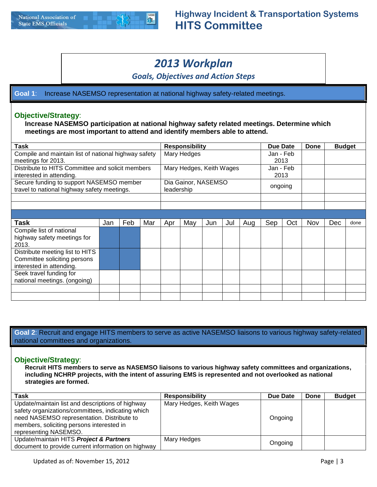## *2013 Workplan*

*Goals, Objectives and Action Steps*

**Goal 1**: Increase NASEMSO representation at national highway safety-related meetings.

## **Objective/Strategy**:

**Increase NASEMSO participation at national highway safety related meetings. Determine which meetings are most important to attend and identify members able to attend.**

| <b>Task</b>                                                                                 |     |     |     |     |                                   | <b>Responsibility</b> |     |     | Due Date          |     | <b>Done</b> | <b>Budget</b> |      |
|---------------------------------------------------------------------------------------------|-----|-----|-----|-----|-----------------------------------|-----------------------|-----|-----|-------------------|-----|-------------|---------------|------|
| Compile and maintain list of national highway safety<br>meetings for 2013.                  |     |     |     |     | Mary Hedges                       |                       |     |     | Jan - Feb<br>2013 |     |             |               |      |
| Distribute to HITS Committee and solicit members<br>interested in attending.                |     |     |     |     | Mary Hedges, Keith Wages          |                       |     |     | Jan - Feb<br>2013 |     |             |               |      |
| Secure funding to support NASEMSO member<br>travel to national highway safety meetings.     |     |     |     |     | Dia Gainor, NASEMSO<br>leadership |                       |     |     | ongoing           |     |             |               |      |
|                                                                                             |     |     |     |     |                                   |                       |     |     |                   |     |             |               |      |
|                                                                                             |     |     |     |     |                                   |                       |     |     |                   |     |             |               |      |
|                                                                                             |     |     |     |     |                                   |                       |     |     |                   |     |             |               |      |
| <b>Task</b>                                                                                 | Jan | Feb | Mar | Apr | May                               | Jun                   | Jul | Aug | Sep               | Oct | Nov         | <b>Dec</b>    | done |
| Compile list of national<br>highway safety meetings for<br>2013.                            |     |     |     |     |                                   |                       |     |     |                   |     |             |               |      |
| Distribute meeting list to HITS<br>Committee soliciting persons<br>interested in attending. |     |     |     |     |                                   |                       |     |     |                   |     |             |               |      |
| Seek travel funding for<br>national meetings. (ongoing)                                     |     |     |     |     |                                   |                       |     |     |                   |     |             |               |      |
|                                                                                             |     |     |     |     |                                   |                       |     |     |                   |     |             |               |      |
|                                                                                             |     |     |     |     |                                   |                       |     |     |                   |     |             |               |      |

**Goal 2**: Recruit and engage HITS members to serve as active NASEMSO liaisons to various highway safety-related national committees and organizations.

## **Objective/Strategy**:

**Recruit HITS members to serve as NASEMSO liaisons to various highway safety committees and organizations, including NCHRP projects, with the intent of assuring EMS is represented and not overlooked as national strategies are formed.**

| Task                                                                                                                                                                                             | <b>Responsibility</b>    | Due Date | Done | <b>Budget</b> |
|--------------------------------------------------------------------------------------------------------------------------------------------------------------------------------------------------|--------------------------|----------|------|---------------|
| Update/maintain list and descriptions of highway<br>safety organizations/committees, indicating which<br>need NASEMSO representation. Distribute to<br>members, soliciting persons interested in | Mary Hedges, Keith Wages | Ongoing  |      |               |
| representing NASEMSO.                                                                                                                                                                            |                          |          |      |               |
| Update/maintain HITS Project & Partners                                                                                                                                                          | Mary Hedges              | Ongoing  |      |               |
| document to provide current information on highway                                                                                                                                               |                          |          |      |               |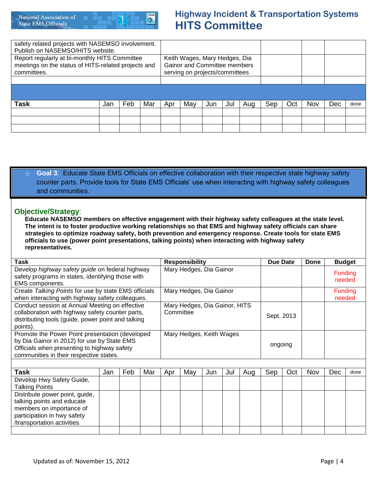

## **Highway Incident & Transportation Systems HITS Committee**

| safety related projects with NASEMSO involvement.<br>Publish on NASEMSO/HITS website.                               |     |     |     |     |                                                                                                        |     |     |     |     |     |     |     |      |
|---------------------------------------------------------------------------------------------------------------------|-----|-----|-----|-----|--------------------------------------------------------------------------------------------------------|-----|-----|-----|-----|-----|-----|-----|------|
| Report regularly at bi-monthly HITS Committee<br>meetings on the status of HITS-related projects and<br>committees. |     |     |     |     | Keith Wages, Mary Hedges, Dia<br><b>Gainor and Committee members</b><br>serving on projects/committees |     |     |     |     |     |     |     |      |
|                                                                                                                     |     |     |     |     |                                                                                                        |     |     |     |     |     |     |     |      |
|                                                                                                                     |     |     |     |     |                                                                                                        |     |     |     |     |     |     |     |      |
| Task                                                                                                                | Jan | Feb | Mar | Apr | May                                                                                                    | Jun | Jul | Aug | Sep | Oct | Nov | Dec | done |
|                                                                                                                     |     |     |     |     |                                                                                                        |     |     |     |     |     |     |     |      |
|                                                                                                                     |     |     |     |     |                                                                                                        |     |     |     |     |     |     |     |      |
|                                                                                                                     |     |     |     |     |                                                                                                        |     |     |     |     |     |     |     |      |

## o **Goal 3**: Educate State EMS Officials on effective collaboration with their respective state highway safety counter parts. Provide tools for State EMS Officials' use when interacting with highway safety colleagues and communities.

## **Objective/Strategy**:

**Educate NASEMSO members on effective engagement with their highway safety colleagues at the state level. The intent is to foster productive working relationships so that EMS and highway safety officials can share strategies to optimize roadway safety, both prevention and emergency response. Create tools for state EMS officials to use (power point presentations, talking points) when interacting with highway safety representatives.**

| Task                                                 |     |     |     |     | <b>Responsibility</b>         |     |     |     | Due Date   |     | Done | <b>Budget</b>            |      |  |
|------------------------------------------------------|-----|-----|-----|-----|-------------------------------|-----|-----|-----|------------|-----|------|--------------------------|------|--|
| Develop highway safety guide on federal highway      |     |     |     |     | Mary Hedges, Dia Gainor       |     |     |     |            |     |      |                          |      |  |
| safety programs in states, identifying those with    |     |     |     |     |                               |     |     |     |            |     |      | <b>Funding</b><br>needed |      |  |
| EMS components.                                      |     |     |     |     |                               |     |     |     |            |     |      |                          |      |  |
| Create Talking Points for use by state EMS officials |     |     |     |     | Mary Hedges, Dia Gainor       |     |     |     |            |     |      | <b>Funding</b>           |      |  |
| when interacting with highway safety colleagues.     |     |     |     |     |                               |     |     |     |            |     |      | needed                   |      |  |
| Conduct session at Annual Meeting on effective       |     |     |     |     | Mary Hedges, Dia Gainor, HITS |     |     |     |            |     |      |                          |      |  |
| collaboration with highway safety counter parts,     |     |     |     |     | Committee                     |     |     |     |            |     |      |                          |      |  |
| distributing tools (guide, power point and talking   |     |     |     |     |                               |     |     |     | Sept. 2013 |     |      |                          |      |  |
| points).                                             |     |     |     |     |                               |     |     |     |            |     |      |                          |      |  |
| Promote the Power Point presentation (developed      |     |     |     |     | Mary Hedges, Keith Wages      |     |     |     |            |     |      |                          |      |  |
| by Dia Gainor in 2012) for use by State EMS          |     |     |     |     |                               |     |     |     | ongoing    |     |      |                          |      |  |
| Officials when presenting to highway safety          |     |     |     |     |                               |     |     |     |            |     |      |                          |      |  |
| communities in their respective states.              |     |     |     |     |                               |     |     |     |            |     |      |                          |      |  |
|                                                      |     |     |     |     |                               |     |     |     |            |     |      |                          |      |  |
| <b>Task</b>                                          | Jan | Feb | Mar | Apr | May                           | Jun | Jul | Aug | Sep        | Oct | Nov  | Dec                      | done |  |
| Develop Hwy Safety Guide,                            |     |     |     |     |                               |     |     |     |            |     |      |                          |      |  |
| <b>Talking Points</b>                                |     |     |     |     |                               |     |     |     |            |     |      |                          |      |  |
| Distribute power point, guide,                       |     |     |     |     |                               |     |     |     |            |     |      |                          |      |  |
| talking points and educate                           |     |     |     |     |                               |     |     |     |            |     |      |                          |      |  |
| members on importance of                             |     |     |     |     |                               |     |     |     |            |     |      |                          |      |  |
| participation in hwy safety                          |     |     |     |     |                               |     |     |     |            |     |      |                          |      |  |
| /transportation activities.                          |     |     |     |     |                               |     |     |     |            |     |      |                          |      |  |
|                                                      |     |     |     |     |                               |     |     |     |            |     |      |                          |      |  |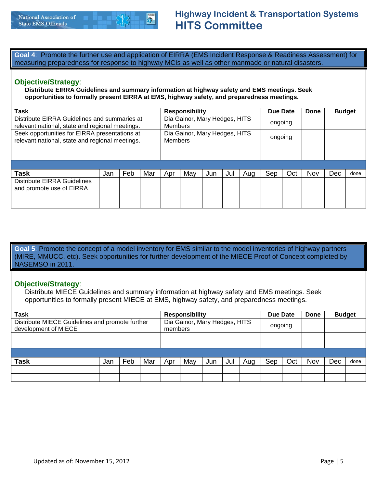**Goal 4**: Promote the further use and application of EIRRA (EMS Incident Response & Readiness Assessment) for measuring preparedness for response to highway MCIs as well as other manmade or natural disasters.

## **Objective/Strategy**:

**Distribute EIRRA Guidelines and summary information at highway safety and EMS meetings. Seek opportunities to formally present EIRRA at EMS, highway safety, and preparedness meetings.**

| Task                                                                                             |     |     |     |     | <b>Responsibility</b>                           |     |     |     | Due Date |     | Done | <b>Budget</b> |      |
|--------------------------------------------------------------------------------------------------|-----|-----|-----|-----|-------------------------------------------------|-----|-----|-----|----------|-----|------|---------------|------|
| Distribute EIRRA Guidelines and summaries at<br>relevant national, state and regional meetings.  |     |     |     |     | Dia Gainor, Mary Hedges, HITS<br><b>Members</b> |     |     |     | ongoing  |     |      |               |      |
| Seek opportunities for EIRRA presentations at<br>relevant national, state and regional meetings. |     |     |     |     | Dia Gainor, Mary Hedges, HITS<br><b>Members</b> |     |     |     | ongoing  |     |      |               |      |
|                                                                                                  |     |     |     |     |                                                 |     |     |     |          |     |      |               |      |
|                                                                                                  |     |     |     |     |                                                 |     |     |     |          |     |      |               |      |
|                                                                                                  |     |     |     |     |                                                 |     |     |     |          |     |      |               |      |
| <b>Task</b>                                                                                      | Jan | Feb | Mar | Apr | May                                             | Jun | Jul | Aug | Sep      | Oct | Nov  | Dec           | done |
| <b>Distribute EIRRA Guidelines</b><br>and promote use of EIRRA                                   |     |     |     |     |                                                 |     |     |     |          |     |      |               |      |
|                                                                                                  |     |     |     |     |                                                 |     |     |     |          |     |      |               |      |
|                                                                                                  |     |     |     |     |                                                 |     |     |     |          |     |      |               |      |

**Goal 5**: Promote the concept of a model inventory for EMS similar to the model inventories of highway partners (MIRE, MMUCC, etc). Seek opportunities for further development of the MIECE Proof of Concept completed by NASEMSO in 2011.

## **Objective/Strategy**:

Distribute MIECE Guidelines and summary information at highway safety and EMS meetings. Seek opportunities to formally present MIECE at EMS, highway safety, and preparedness meetings.

| <b>Task</b>                                                             |     |     |     |         | <b>Responsibility</b>         |     |     |     | Due Date |     | Done | <b>Budget</b> |      |
|-------------------------------------------------------------------------|-----|-----|-----|---------|-------------------------------|-----|-----|-----|----------|-----|------|---------------|------|
| Distribute MIECE Guidelines and promote further<br>development of MIECE |     |     |     | members | Dia Gainor, Mary Hedges, HITS |     |     |     | ongoing  |     |      |               |      |
|                                                                         |     |     |     |         |                               |     |     |     |          |     |      |               |      |
|                                                                         |     |     |     |         |                               |     |     |     |          |     |      |               |      |
|                                                                         |     |     |     |         |                               |     |     |     |          |     |      |               |      |
| <b>Task</b>                                                             | Jan | Feb | Mar | Apr     | May                           | Jun | Jul | Aug | Sep      | Oct | Nov  | Dec           | done |
|                                                                         |     |     |     |         |                               |     |     |     |          |     |      |               |      |
|                                                                         |     |     |     |         |                               |     |     |     |          |     |      |               |      |